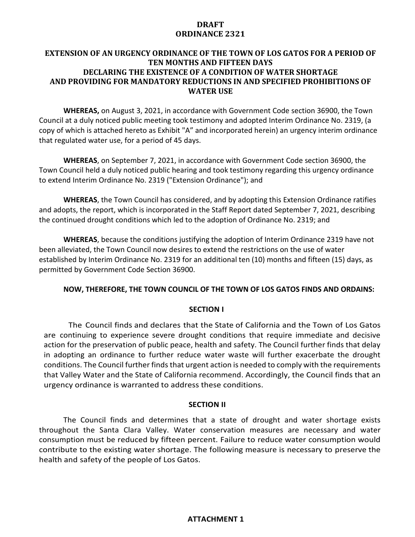# **DRAFT ORDINANCE 2321**

# **EXTENSION OF AN URGENCY ORDINANCE OF THE TOWN OF LOS GATOS FOR A PERIOD OF TEN MONTHS AND FIFTEEN DAYS DECLARING THE EXISTENCE OF A CONDITION OF WATER SHORTAGE AND PROVIDING FOR MANDATORY REDUCTIONS IN AND SPECIFIED PROHIBITIONS OF WATER USE**

**WHEREAS,** on August 3, 2021, in accordance with Government Code section 36900, the Town Council at a duly noticed public meeting took testimony and adopted Interim Ordinance No. 2319, (a copy of which is attached hereto as Exhibit "A" and incorporated herein) an urgency interim ordinance that regulated water use, for a period of 45 days.

**WHEREAS**, on September 7, 2021, in accordance with Government Code section 36900, the Town Council held a duly noticed public hearing and took testimony regarding this urgency ordinance to extend Interim Ordinance No. 2319 ("Extension Ordinance"); and

**WHEREAS**, the Town Council has considered, and by adopting this Extension Ordinance ratifies and adopts, the report, which is incorporated in the Staff Report dated September 7, 2021, describing the continued drought conditions which led to the adoption of Ordinance No. 2319; and

**WHEREAS**, because the conditions justifying the adoption of Interim Ordinance 2319 have not been alleviated, the Town Council now desires to extend the restrictions on the use of water established by Interim Ordinance No. 2319 for an additional ten (10) months and fifteen (15) days, as permitted by Government Code Section 36900.

## **NOW, THEREFORE, THE TOWN COUNCIL OF THE TOWN OF LOS GATOS FINDS AND ORDAINS:**

## **SECTION I**

The Council finds and declares that the State of California and the Town of Los Gatos are continuing to experience severe drought conditions that require immediate and decisive action for the preservation of public peace, health and safety. The Council further finds that delay in adopting an ordinance to further reduce water waste will further exacerbate the drought conditions. The Council further finds that urgent action is needed to comply with the requirements that Valley Water and the State of California recommend. Accordingly, the Council finds that an urgency ordinance is warranted to address these conditions.

### **SECTION II**

The Council finds and determines that a state of drought and water shortage exists throughout the Santa Clara Valley. Water conservation measures are necessary and water consumption must be reduced by fifteen percent. Failure to reduce water consumption would contribute to the existing water shortage. The following measure is necessary to preserve the health and safety of the people of Los Gatos.

## **ATTACHMENT 1**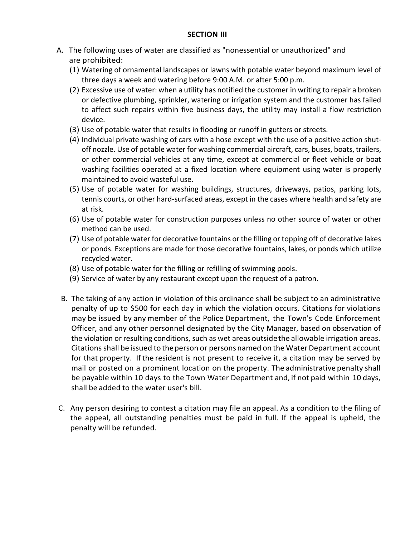### **SECTION III**

- A. The following uses of water are classified as "nonessential or unauthorized" and are prohibited:
	- (1) Watering of ornamental landscapes or lawns with potable water beyond maximum level of three days a week and watering before 9:00 A.M. or after 5:00 p.m.
	- (2) Excessive use of water: when a utility has notified the customer in writing to repair a broken or defective plumbing, sprinkler, watering or irrigation system and the customer has failed to affect such repairs within five business days, the utility may install a flow restriction device.
	- (3) Use of potable water that results in flooding or runoff in gutters or streets.
	- (4) Individual private washing of cars with a hose except with the use of a positive action shutoff nozzle. Use of potable water for washing commercial aircraft, cars, buses, boats, trailers, or other commercial vehicles at any time, except at commercial or fleet vehicle or boat washing facilities operated at a fixed location where equipment using water is properly maintained to avoid wasteful use.
	- (5) Use of potable water for washing buildings, structures, driveways, patios, parking lots, tennis courts, or other hard-surfaced areas, except in the cases where health and safety are at risk.
	- (6) Use of potable water for construction purposes unless no other source of water or other method can be used.
	- (7) Use of potable water for decorative fountains or the filling or topping off of decorative lakes or ponds. Exceptions are made for those decorative fountains, lakes, or ponds which utilize recycled water.
	- (8) Use of potable water for the filling or refilling of swimming pools.
	- (9) Service of water by any restaurant except upon the request of a patron.
	- B. The taking of any action in violation of this ordinance shall be subject to an administrative penalty of up to \$500 for each day in which the violation occurs. Citations for violations may be issued by any member of the Police Department, the Town's Code Enforcement Officer, and any other personnel designated by the City Manager, based on observation of the violation or resulting conditions, such as wet areasoutsidethe allowable irrigation areas. Citationsshall be issued to theperson or persons named on the WaterDepartment account for that property. If the resident is not present to receive it, a citation may be served by mail or posted on a prominent location on the property. The administrative penalty shall be payable within 10 days to the Town Water Department and, if not paid within 10 days, shall be added to the water user's bill.
- C. Any person desiring to contest a citation may file an appeal. As a condition to the filing of the appeal, all outstanding penalties must be paid in full. If the appeal is upheld, the penalty will be refunded.